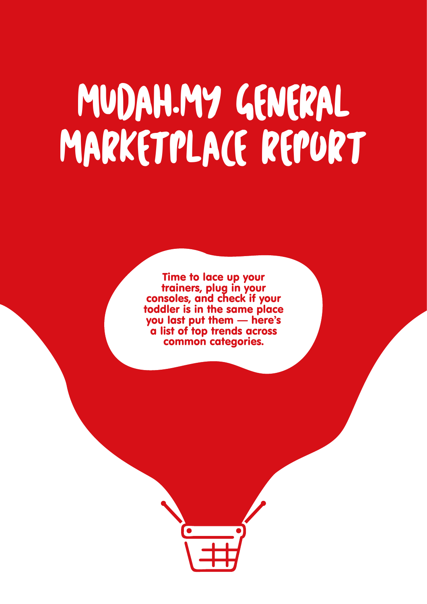# MUDAH.MY GENERAL MARKETPLACE REPORT

Time to lace up your trainers, plug in your consoles, and check if your toddler is in the same place you last put them — here's a list of top trends across common categories.

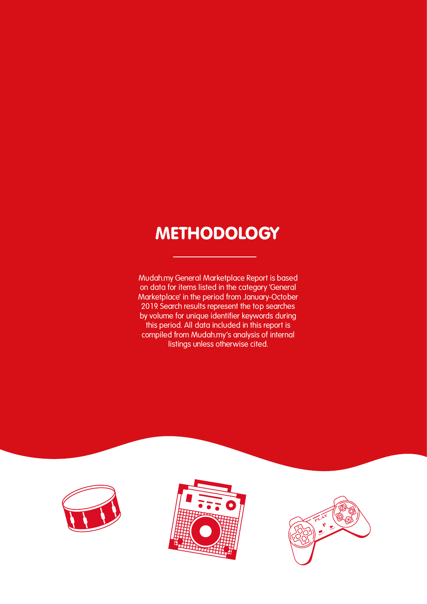#### **METHODOLOGY**

**Mudah.my General Marketplace Report is based on data for items listed in the category 'General Marketplace' in the period from January-October 2019. Search results represent the top searches by volume for unique identifier keywords during this period. All data included in this report is compiled from Mudah.my's analysis of internal listings unless otherwise cited.**





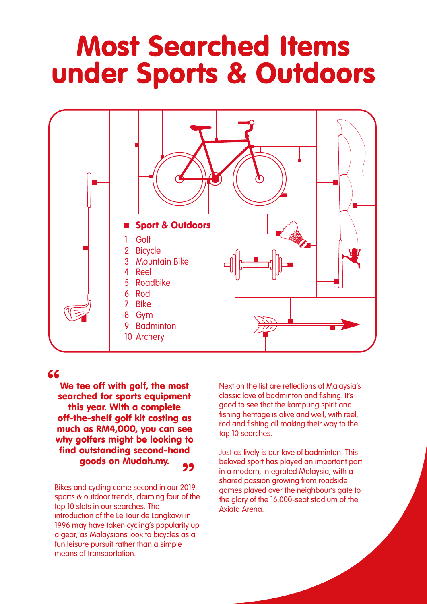### Most Searched Items under Sports & Outdoors



#### "

We tee off with golf, the most searched for sports equipment this year. With a complete off-the-shelf golf kit costing as much as RM4,000, you can see why golfers might be looking to find outstanding second-hand goods on Mudah.my. 99

Bikes and cycling come second in our 2019 sports & outdoor trends, claiming four of the top 10 slots in our searches. The introduction of the Le Tour de Langkawi in 1996 may have taken cycling's popularity up a gear, as Malaysians look to bicycles as a fun leisure pursuit rather than a simple means of transportation.

Next on the list are reflections of Malaysia's classic love of badminton and fishing. It's good to see that the kampung spirit and fishing heritage is alive and well, with reel, rod and fishing all making their way to the top 10 searches.

Just as lively is our love of badminton. This beloved sport has played an important part in a modern, integrated Malaysia, with a shared passion growing from roadside games played over the neighbour's gate to the glory of the 16,000-seat stadium of the Axiata Arena.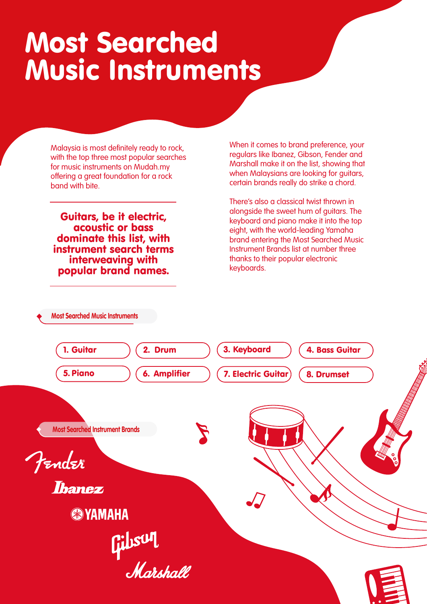## Most Searched Music Instruments

Malaysia is most definitely ready to rock, with the top three most popular searches for music instruments on Mudah.my offering a great foundation for a rock band with bite.

Guitars, be it electric, acoustic or bass dominate this list, with instrument search terms interweaving with popular brand names.

**Most Searched Music Instruments**

When it comes to brand preference, your regulars like Ibanez, Gibson, Fender and Marshall make it on the list, showing that when Malaysians are looking for guitars, certain brands really do strike a chord.

There's also a classical twist thrown in alongside the sweet hum of guitars. The keyboard and piano make it into the top eight, with the world-leading Yamaha brand entering the Most Searched Music Instrument Brands list at number three thanks to their popular electronic keyboards.

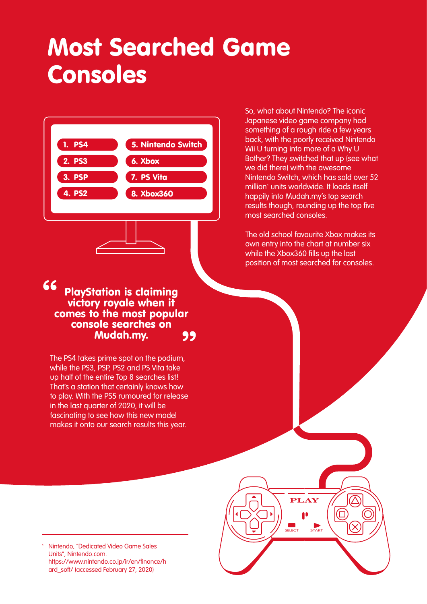### Most Searched Game Consoles



#### 66 99 PlayStation is claiming victory royale when if comes to the most popular console searches on Mudah.my.

The PS4 takes prime spot on the podium, while the PS3, PSP, PS2 and PS Vita take up half of the entire Top 8 searches list! That's a station that certainly knows how to play. With the PS5 rumoured for release in the last quarter of 2020, it will be fascinating to see how this new model makes it onto our search results this year.

So, what about Nintendo? The iconic Japanese video game company had something of a rough ride a few years back, with the poorly received Nintendo Wii U turning into more of a Why U Bother? They switched that up (see what we did there) with the awesome Nintendo Switch, which has sold over 52 million<sup>1</sup> units worldwide. It loads itself happily into Mudah.my's top search results though, rounding up the top five most searched consoles.

The old school favourite Xbox makes its own entry into the chart at number six while the Xbox360 fills up the last position of most searched for consoles.

**PLAY**

**SELECT START**

Nintendo, "Dedicated Video Game Sales Units", Nintendo.com. https://www.nintendo.co.jp/ir/en/finance/h ard\_soft/ (accessed February 27, 2020)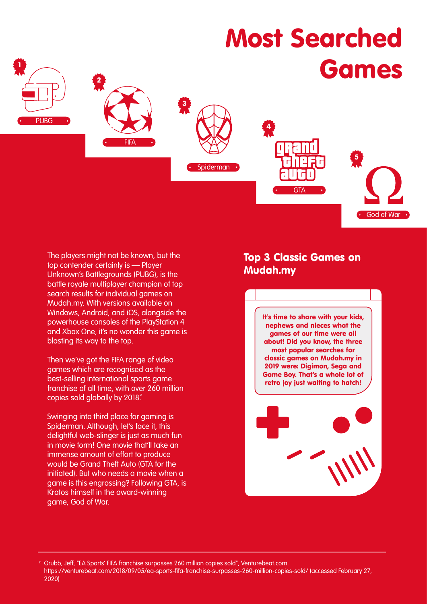

The players might not be known, but the top contender certainly is — Player Unknown's Battlegrounds (PUBG), is the battle royale multiplayer champion of top search results for individual games on Mudah.my. With versions available on Windows, Android, and iOS, alongside the powerhouse consoles of the PlayStation 4 and Xbox One, it's no wonder this game is blasting its way to the top.

Then we've got the FIFA range of video games which are recognised as the best-selling international sports game franchise of all time, with over 260 million copies sold globally by 2018.

Swinging into third place for gaming is Spiderman. Although, let's face it, this delightful web-slinger is just as much fun in movie form! One movie that'll take an immense amount of effort to produce would be Grand Theft Auto (GTA for the initiated). But who needs a movie when a game is this engrossing? Following GTA, is Kratos himself in the award-winning game, God of War.

#### Top 3 Classic Games on Mudah.my

It's time to share with your kids, nephews and nieces what the games of our time were all about! Did you know, the three most popular searches for classic games on Mudah.my in 2019 were: Digimon, Sega and Game Boy. That's a whole lot of retro joy just waiting to hatch!



<sup>2</sup> Grubb, Jeff, "EA Sports' FIFA franchise surpasses 260 million copies sold", Venturebeat.com. https://venturebeat.com/2018/09/05/ea-sports-fifa-franchise-surpasses-260-million-copies-sold/ (accessed February 27, 2020)